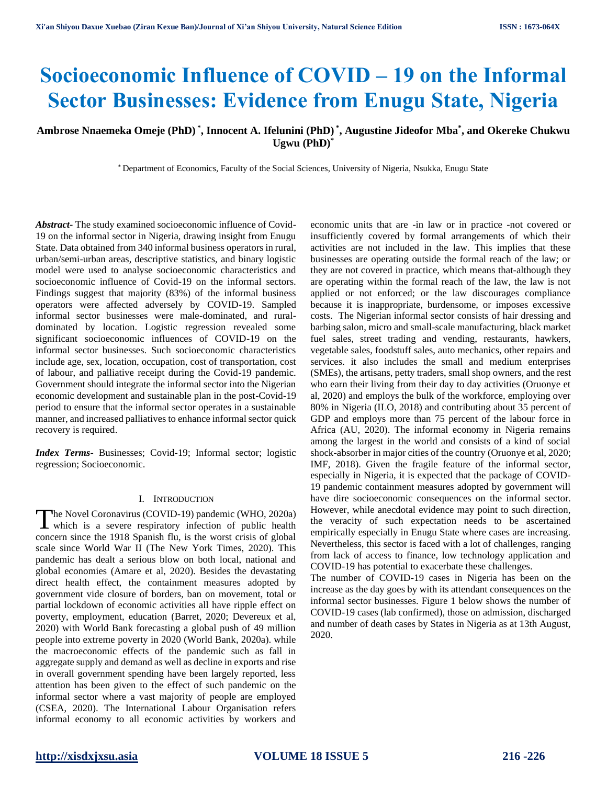# **Socioeconomic Influence of COVID – 19 on the Informal Sector Businesses: Evidence from Enugu State, Nigeria**

## **Ambrose Nnaemeka Omeje (PhD) \* , Innocent A. Ifelunini (PhD) \* , Augustine Jideofor Mba\* , and Okereke Chukwu Ugwu (PhD)\***

\* Department of Economics, Faculty of the Social Sciences, University of Nigeria, Nsukka, Enugu State

*Abstract***-** The study examined socioeconomic influence of Covid-19 on the informal sector in Nigeria, drawing insight from Enugu State. Data obtained from 340 informal business operators in rural, urban/semi-urban areas, descriptive statistics, and binary logistic model were used to analyse socioeconomic characteristics and socioeconomic influence of Covid-19 on the informal sectors. Findings suggest that majority (83%) of the informal business operators were affected adversely by COVID-19. Sampled informal sector businesses were male-dominated, and ruraldominated by location. Logistic regression revealed some significant socioeconomic influences of COVID-19 on the informal sector businesses. Such socioeconomic characteristics include age, sex, location, occupation, cost of transportation, cost of labour, and palliative receipt during the Covid-19 pandemic. Government should integrate the informal sector into the Nigerian economic development and sustainable plan in the post-Covid-19 period to ensure that the informal sector operates in a sustainable manner, and increased palliatives to enhance informal sector quick recovery is required.

*Index Terms*- Businesses; Covid-19; Informal sector; logistic regression; Socioeconomic.

#### I. INTRODUCTION

he Novel Coronavirus (COVID-19) pandemic (WHO, 2020a) The Novel Coronavirus (COVID-19) pandemic (WHO, 2020a)<br>which is a severe respiratory infection of public health concern since the 1918 Spanish flu, is the worst crisis of global scale since World War II (The New York Times, 2020). This pandemic has dealt a serious blow on both local, national and global economies (Amare et al, 2020). Besides the devastating direct health effect, the containment measures adopted by government vide closure of borders, ban on movement, total or partial lockdown of economic activities all have ripple effect on poverty, employment, education (Barret, 2020; Devereux et al, 2020) with World Bank forecasting a global push of 49 million people into extreme poverty in 2020 (World Bank, 2020a). while the macroeconomic effects of the pandemic such as fall in aggregate supply and demand as well as decline in exports and rise in overall government spending have been largely reported, less attention has been given to the effect of such pandemic on the informal sector where a vast majority of people are employed (CSEA, 2020). The International Labour Organisation refers informal economy to all economic activities by workers and

economic units that are -in law or in practice -not covered or insufficiently covered by formal arrangements of which their activities are not included in the law. This implies that these businesses are operating outside the formal reach of the law; or they are not covered in practice, which means that-although they are operating within the formal reach of the law, the law is not applied or not enforced; or the law discourages compliance because it is inappropriate, burdensome, or imposes excessive costs. The Nigerian informal sector consists of hair dressing and barbing salon, micro and small-scale manufacturing, black market fuel sales, street trading and vending, restaurants, hawkers, vegetable sales, foodstuff sales, auto mechanics, other repairs and services. it also includes the small and medium enterprises (SMEs), the artisans, petty traders, small shop owners, and the rest who earn their living from their day to day activities (Oruonye et al, 2020) and employs the bulk of the workforce, employing over 80% in Nigeria (ILO, 2018) and contributing about 35 percent of GDP and employs more than 75 percent of the labour force in Africa (AU, 2020). The informal economy in Nigeria remains among the largest in the world and consists of a kind of social shock-absorber in major cities of the country (Oruonye et al, 2020; IMF, 2018). Given the fragile feature of the informal sector, especially in Nigeria, it is expected that the package of COVID-19 pandemic containment measures adopted by government will have dire socioeconomic consequences on the informal sector. However, while anecdotal evidence may point to such direction, the veracity of such expectation needs to be ascertained empirically especially in Enugu State where cases are increasing. Nevertheless, this sector is faced with a lot of challenges, ranging from lack of access to finance, low technology application and COVID-19 has potential to exacerbate these challenges.

The number of COVID-19 cases in Nigeria has been on the increase as the day goes by with its attendant consequences on the informal sector businesses. Figure 1 below shows the number of COVID-19 cases (lab confirmed), those on admission, discharged and number of death cases by States in Nigeria as at 13th August, 2020.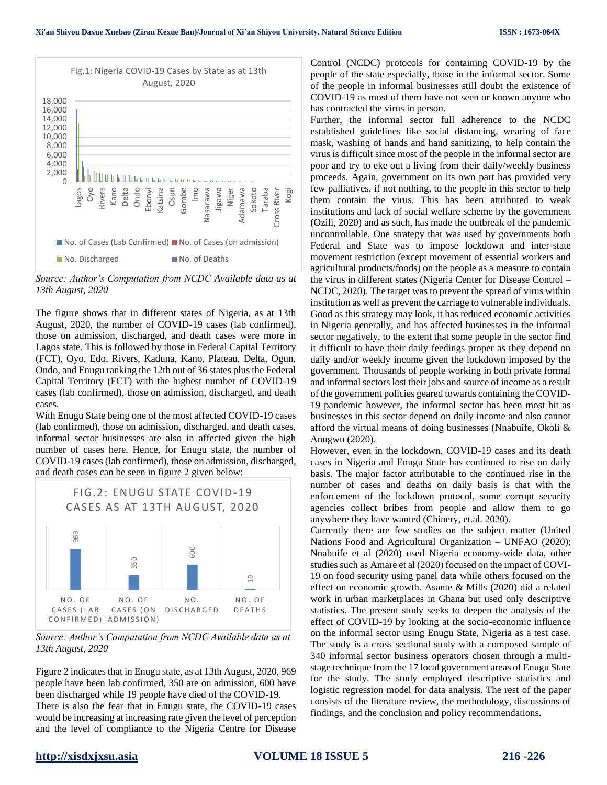

*Source: Author's Computation from NCDC Available data as at 13th August, 2020*

The figure shows that in different states of Nigeria, as at 13th August, 2020, the number of COVID-19 cases (lab confirmed), those on admission, discharged, and death cases were more in Lagos state. This is followed by those in Federal Capital Territory (FCT), Oyo, Edo, Rivers, Kaduna, Kano, Plateau, Delta, Ogun, Ondo, and Enugu ranking the 12th out of 36 states plus the Federal Capital Territory (FCT) with the highest number of COVID-19 cases (lab confirmed), those on admission, discharged, and death cases.

With Enugu State being one of the most affected COVID-19 cases (lab confirmed), those on admission, discharged, and death cases, informal sector businesses are also in affected given the high number of cases here. Hence, for Enugu state, the number of COVID-19 cases (lab confirmed), those on admission, discharged, and death cases can be seen in figure 2 given below:



*Source: Author's Computation from NCDC Available data as at 13th August, 2020*

Figure 2 indicates that in Enugu state, as at 13th August, 2020, 969 people have been lab confirmed, 350 are on admission, 600 have been discharged while 19 people have died of the COVID-19. There is also the fear that in Enugu state, the COVID-19 cases would be increasing at increasing rate given the level of perception and the level of compliance to the Nigeria Centre for Disease

Control (NCDC) protocols for containing COVID-19 by the people of the state especially, those in the informal sector. Some of the people in informal businesses still doubt the existence of COVID-19 as most of them have not seen or known anyone who has contracted the virus in person.

Further, the informal sector full adherence to the NCDC established guidelines like social distancing, wearing of face mask, washing of hands and hand sanitizing, to help contain the virus is difficult since most of the people in the informal sector are poor and try to eke out a living from their daily/weekly business proceeds. Again, government on its own part has provided very few palliatives, if not nothing, to the people in this sector to help them contain the virus. This has been attributed to weak institutions and lack of social welfare scheme by the government (Ozili, 2020) and as such, has made the outbreak of the pandemic uncontrollable. One strategy that was used by governments both Federal and State was to impose lockdown and inter-state movement restriction (except movement of essential workers and agricultural products/foods) on the people as a measure to contain the virus in different states (Nigeria Center for Disease Control – NCDC, 2020). The target was to prevent the spread of virus within institution as well as prevent the carriage to vulnerable individuals. Good as this strategy may look, it has reduced economic activities in Nigeria generally, and has affected businesses in the informal sector negatively, to the extent that some people in the sector find it difficult to have their daily feedings proper as they depend on daily and/or weekly income given the lockdown imposed by the government. Thousands of people working in both private formal and informal sectors lost their jobs and source of income as a result of the government policies geared towards containing the COVID-19 pandemic however, the informal sector has been most hit as businesses in this sector depend on daily income and also cannot afford the virtual means of doing businesses (Nnabuife, Okoli & Anugwu (2020).

However, even in the lockdown, COVID-19 cases and its death cases in Nigeria and Enugu State has continued to rise on daily basis. The major factor attributable to the continued rise in the number of cases and deaths on daily basis is that with the enforcement of the lockdown protocol, some corrupt security agencies collect bribes from people and allow them to go anywhere they have wanted (Chinery, et.al. 2020).

Currently there are few studies on the subject matter (United Nations Food and Agricultural Organization – UNFAO (2020); Nnabuife et al (2020) used Nigeria economy-wide data, other studies such as Amare et al (2020) focused on the impact of COVI-19 on food security using panel data while others focused on the effect on economic growth. Asante & Mills (2020) did a related work in urban marketplaces in Ghana but used only descriptive statistics. The present study seeks to deepen the analysis of the effect of COVID-19 by looking at the socio-economic influence on the informal sector using Enugu State, Nigeria as a test case. The study is a cross sectional study with a composed sample of 340 informal sector business operators chosen through a multistage technique from the 17 local government areas of Enugu State for the study. The study employed descriptive statistics and logistic regression model for data analysis. The rest of the paper consists of the literature review, the methodology, discussions of findings, and the conclusion and policy recommendations.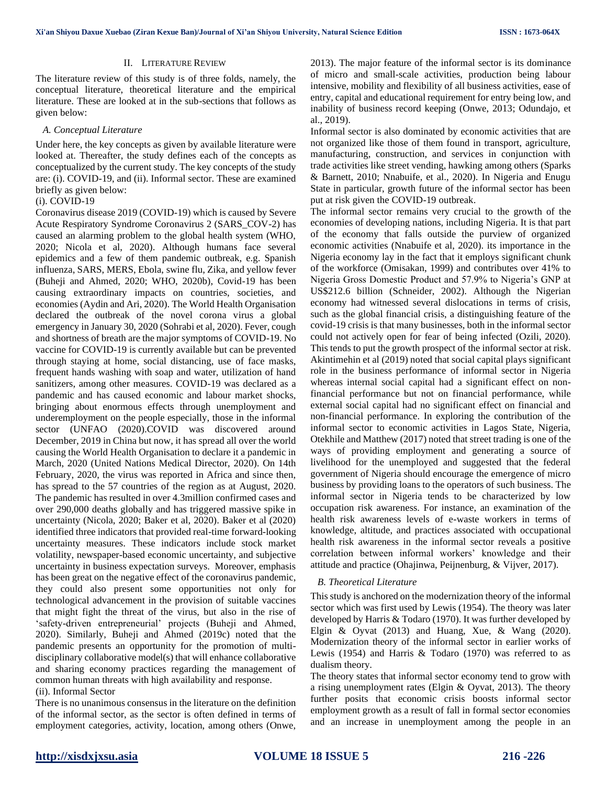#### II. LITERATURE REVIEW

The literature review of this study is of three folds, namely, the conceptual literature, theoretical literature and the empirical literature. These are looked at in the sub-sections that follows as given below:

#### *A. Conceptual Literature*

Under here, the key concepts as given by available literature were looked at. Thereafter, the study defines each of the concepts as conceptualized by the current study. The key concepts of the study are: (i). COVID-19, and (ii). Informal sector. These are examined briefly as given below:

#### (i). COVID-19

Coronavirus disease 2019 (COVID-19) which is caused by Severe Acute Respiratory Syndrome Coronavirus 2 (SARS\_COV-2) has caused an alarming problem to the global health system (WHO, 2020; Nicola et al, 2020). Although humans face several epidemics and a few of them pandemic outbreak, e.g. Spanish influenza, SARS, MERS, Ebola, swine flu, Zika, and yellow fever (Buheji and Ahmed, 2020; WHO, 2020b), Covid-19 has been causing extraordinary impacts on countries, societies, and economies (Aydin and Ari, 2020). The World Health Organisation declared the outbreak of the novel corona virus a global emergency in January 30, 2020 (Sohrabi et al, 2020). Fever, cough and shortness of breath are the major symptoms of COVID-19. No vaccine for COVID-19 is currently available but can be prevented through staying at home, social distancing, use of face masks, frequent hands washing with soap and water, utilization of hand sanitizers, among other measures. COVID-19 was declared as a pandemic and has caused economic and labour market shocks, bringing about enormous effects through unemployment and underemployment on the people especially, those in the informal sector (UNFAO (2020).COVID was discovered around December, 2019 in China but now, it has spread all over the world causing the World Health Organisation to declare it a pandemic in March, 2020 (United Nations Medical Director, 2020). On 14th February, 2020, the virus was reported in Africa and since then, has spread to the 57 countries of the region as at August, 2020. The pandemic has resulted in over 4.3million confirmed cases and over 290,000 deaths globally and has triggered massive spike in uncertainty (Nicola, 2020; Baker et al, 2020). Baker et al (2020) identified three indicators that provided real-time forward-looking uncertainty measures. These indicators include stock market volatility, newspaper-based economic uncertainty, and subjective uncertainty in business expectation surveys. Moreover, emphasis has been great on the negative effect of the coronavirus pandemic, they could also present some opportunities not only for technological advancement in the provision of suitable vaccines that might fight the threat of the virus, but also in the rise of 'safety-driven entrepreneurial' projects (Buheji and Ahmed, 2020). Similarly, Buheji and Ahmed (2019c) noted that the pandemic presents an opportunity for the promotion of multidisciplinary collaborative model(s) that will enhance collaborative and sharing economy practices regarding the management of common human threats with high availability and response.

### (ii). Informal Sector

There is no unanimous consensus in the literature on the definition of the informal sector, as the sector is often defined in terms of employment categories, activity, location, among others (Onwe, 2013). The major feature of the informal sector is its dominance of micro and small-scale activities, production being labour intensive, mobility and flexibility of all business activities, ease of entry, capital and educational requirement for entry being low, and inability of business record keeping (Onwe, 2013; Odundajo, et al., 2019).

Informal sector is also dominated by economic activities that are not organized like those of them found in transport, agriculture, manufacturing, construction, and services in conjunction with trade activities like street vending, hawking among others (Sparks & Barnett, 2010; Nnabuife, et al., 2020). In Nigeria and Enugu State in particular, growth future of the informal sector has been put at risk given the COVID-19 outbreak.

The informal sector remains very crucial to the growth of the economies of developing nations, including Nigeria. It is that part of the economy that falls outside the purview of organized economic activities (Nnabuife et al, 2020). its importance in the Nigeria economy lay in the fact that it employs significant chunk of the workforce (Omisakan, 1999) and contributes over 41% to Nigeria Gross Domestic Product and 57.9% to Nigeria's GNP at US\$212.6 billion (Schneider, 2002). Although the Nigerian economy had witnessed several dislocations in terms of crisis, such as the global financial crisis, a distinguishing feature of the covid-19 crisis is that many businesses, both in the informal sector could not actively open for fear of being infected (Ozili, 2020). This tends to put the growth prospect of the informal sector at risk. Akintimehin et al (2019) noted that social capital plays significant role in the business performance of informal sector in Nigeria whereas internal social capital had a significant effect on nonfinancial performance but not on financial performance, while external social capital had no significant effect on financial and non-financial performance. In exploring the contribution of the informal sector to economic activities in Lagos State, Nigeria, Otekhile and Matthew (2017) noted that street trading is one of the ways of providing employment and generating a source of livelihood for the unemployed and suggested that the federal government of Nigeria should encourage the emergence of micro business by providing loans to the operators of such business. The informal sector in Nigeria tends to be characterized by low occupation risk awareness. For instance, an examination of the health risk awareness levels of e-waste workers in terms of knowledge, altitude, and practices associated with occupational health risk awareness in the informal sector reveals a positive correlation between informal workers' knowledge and their attitude and practice (Ohajinwa, Peijnenburg, & Vijver, 2017).

#### *B. Theoretical Literature*

This study is anchored on the modernization theory of the informal sector which was first used by Lewis (1954). The theory was later developed by Harris & Todaro (1970). It was further developed by Elgin  $\&$  Oyvat (2013) and Huang, Xue,  $\&$  Wang (2020). Modernization theory of the informal sector in earlier works of Lewis (1954) and Harris & Todaro (1970) was referred to as dualism theory.

The theory states that informal sector economy tend to grow with a rising unemployment rates (Elgin & Oyvat, 2013). The theory further posits that economic crisis boosts informal sector employment growth as a result of fall in formal sector economies and an increase in unemployment among the people in an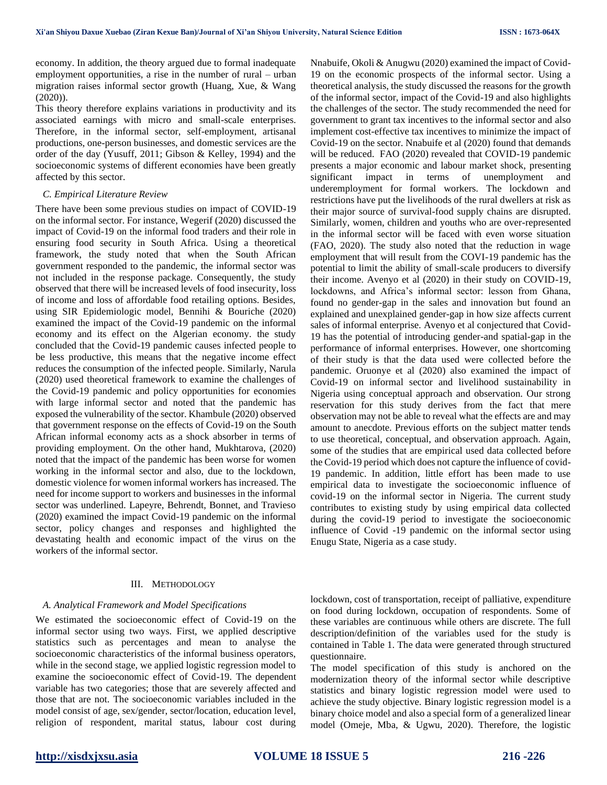economy. In addition, the theory argued due to formal inadequate employment opportunities, a rise in the number of rural – urban migration raises informal sector growth (Huang, Xue, & Wang (2020)).

This theory therefore explains variations in productivity and its associated earnings with micro and small-scale enterprises. Therefore, in the informal sector, self-employment, artisanal productions, one-person businesses, and domestic services are the order of the day (Yusuff, 2011; Gibson & Kelley, 1994) and the socioeconomic systems of different economies have been greatly affected by this sector.

#### *C. Empirical Literature Review*

There have been some previous studies on impact of COVID-19 on the informal sector. For instance, Wegerif (2020) discussed the impact of Covid-19 on the informal food traders and their role in ensuring food security in South Africa. Using a theoretical framework, the study noted that when the South African government responded to the pandemic, the informal sector was not included in the response package. Consequently, the study observed that there will be increased levels of food insecurity, loss of income and loss of affordable food retailing options. Besides, using SIR Epidemiologic model, Bennihi & Bouriche (2020) examined the impact of the Covid-19 pandemic on the informal economy and its effect on the Algerian economy. the study concluded that the Covid-19 pandemic causes infected people to be less productive, this means that the negative income effect reduces the consumption of the infected people. Similarly, Narula (2020) used theoretical framework to examine the challenges of the Covid-19 pandemic and policy opportunities for economies with large informal sector and noted that the pandemic has exposed the vulnerability of the sector. Khambule (2020) observed that government response on the effects of Covid-19 on the South African informal economy acts as a shock absorber in terms of providing employment. On the other hand, Mukhtarova, (2020) noted that the impact of the pandemic has been worse for women working in the informal sector and also, due to the lockdown, domestic violence for women informal workers has increased. The need for income support to workers and businesses in the informal sector was underlined. Lapeyre, Behrendt, Bonnet, and Travieso (2020) examined the impact Covid-19 pandemic on the informal sector, policy changes and responses and highlighted the devastating health and economic impact of the virus on the workers of the informal sector.

#### III. METHODOLOGY

#### *A. Analytical Framework and Model Specifications*

We estimated the socioeconomic effect of Covid-19 on the informal sector using two ways. First, we applied descriptive statistics such as percentages and mean to analyse the socioeconomic characteristics of the informal business operators, while in the second stage, we applied logistic regression model to examine the socioeconomic effect of Covid-19. The dependent variable has two categories; those that are severely affected and those that are not. The socioeconomic variables included in the model consist of age, sex/gender, sector/location, education level, religion of respondent, marital status, labour cost during

Nnabuife, Okoli & Anugwu (2020) examined the impact of Covid-19 on the economic prospects of the informal sector. Using a theoretical analysis, the study discussed the reasons for the growth of the informal sector, impact of the Covid-19 and also highlights the challenges of the sector. The study recommended the need for government to grant tax incentives to the informal sector and also implement cost-effective tax incentives to minimize the impact of Covid-19 on the sector. Nnabuife et al (2020) found that demands will be reduced. FAO (2020) revealed that COVID-19 pandemic presents a major economic and labour market shock, presenting significant impact in terms of unemployment and underemployment for formal workers. The lockdown and restrictions have put the livelihoods of the rural dwellers at risk as their major source of survival-food supply chains are disrupted. Similarly, women, children and youths who are over-represented in the informal sector will be faced with even worse situation (FAO, 2020). The study also noted that the reduction in wage employment that will result from the COVI-19 pandemic has the potential to limit the ability of small-scale producers to diversify their income. Avenyo et al (2020) in their study on COVID-19, lockdowns, and Africa's informal sector: lesson from Ghana, found no gender-gap in the sales and innovation but found an explained and unexplained gender-gap in how size affects current sales of informal enterprise. Avenyo et al conjectured that Covid-19 has the potential of introducing gender-and spatial-gap in the performance of informal enterprises. However, one shortcoming of their study is that the data used were collected before the pandemic. Oruonye et al (2020) also examined the impact of Covid-19 on informal sector and livelihood sustainability in Nigeria using conceptual approach and observation. Our strong reservation for this study derives from the fact that mere observation may not be able to reveal what the effects are and may amount to anecdote. Previous efforts on the subject matter tends to use theoretical, conceptual, and observation approach. Again, some of the studies that are empirical used data collected before the Covid-19 period which does not capture the influence of covid-19 pandemic. In addition, little effort has been made to use empirical data to investigate the socioeconomic influence of covid-19 on the informal sector in Nigeria. The current study contributes to existing study by using empirical data collected during the covid-19 period to investigate the socioeconomic influence of Covid -19 pandemic on the informal sector using Enugu State, Nigeria as a case study.

lockdown, cost of transportation, receipt of palliative, expenditure on food during lockdown, occupation of respondents. Some of these variables are continuous while others are discrete. The full description/definition of the variables used for the study is contained in Table 1. The data were generated through structured questionnaire.

The model specification of this study is anchored on the modernization theory of the informal sector while descriptive statistics and binary logistic regression model were used to achieve the study objective. Binary logistic regression model is a binary choice model and also a special form of a generalized linear model (Omeje, Mba, & Ugwu, 2020). Therefore, the logistic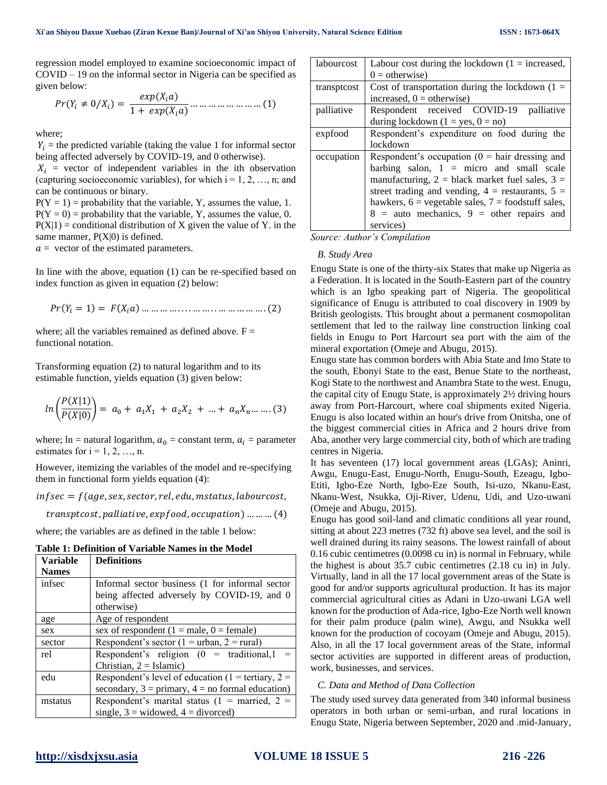regression model employed to examine socioeconomic impact of COVID – 19 on the informal sector in Nigeria can be specified as given below:

( ≠ 0⁄ ) = () 1 + () … … … … … … … … (1)

where;

 $Y_i$  = the predicted variable (taking the value 1 for informal sector being affected adversely by COVID-19, and 0 otherwise).

 $X_i$  = vector of independent variables in the ith observation (capturing socioeconomic variables), for which  $i = 1, 2, ..., n$ ; and can be continuous or binary.

 $P(Y = 1)$  = probability that the variable, Y, assumes the value, 1.  $P(Y = 0)$  = probability that the variable, Y, assumes the value, 0.  $P(X|1) =$  conditional distribution of X given the value of Y. in the same manner,  $P(X|0)$  is defined.

 $a =$  vector of the estimated parameters.

In line with the above, equation (1) can be re-specified based on index function as given in equation (2) below:

$$
Pr(Y_i = 1) = F(X_i a) \dots \dots \dots \dots \dots \dots \dots \dots \dots \dots \dots \dots \dots (2)
$$

where; all the variables remained as defined above.  $F =$ functional notation.

Transforming equation (2) to natural logarithm and to its estimable function, yields equation (3) given below:

$$
ln\left(\frac{P(X|1)}{P(X|0)}\right) = a_0 + a_1X_1 + a_2X_2 + \dots + a_nX_n + \dots
$$
 (3)

where;  $\text{ln} = \text{natural logarithm}, a_0 = \text{constant term}, a_i = \text{parameter}$ estimates for  $i = 1, 2, ..., n$ .

However, itemizing the variables of the model and re-specifying them in functional form yields equation (4):

 $inf$ sec =  $f$ (age, sex, sector, rel, edu, mstatus, labourcost,

 $transptcost, pallitative, expfood, occupation)$  ... ... ... (4)

where; the variables are as defined in the table 1 below:

**Table 1: Definition of Variable Names in the Model**

| Variable     | <b>Definitions</b>                                              |
|--------------|-----------------------------------------------------------------|
| <b>Names</b> |                                                                 |
| infsec       | Informal sector business (1 for informal sector                 |
|              | being affected adversely by COVID-19, and 0                     |
|              | otherwise)                                                      |
| age          | Age of respondent                                               |
| sex          | sex of respondent ( $1 = male$ , $0 = female$ )                 |
| sector       | Respondent's sector (1 = urban, 2 = rural)                      |
| rel          | Respondent's religion $(0 =$ traditional, 1                     |
|              | Christian, $2 = Islamic$ )                                      |
| edu          | Respondent's level of education (1 = tertiary, 2 =              |
|              | secondary, $3 = \text{primary}, 4 = \text{no formal education}$ |
| mstatus      | Respondent's marital status (1 = married, 2 =                   |
|              | single, $3 =$ widowed, $4 =$ divorced)                          |

| labourcost  | Labour cost during the lockdown $(1 = increased,$        |  |  |
|-------------|----------------------------------------------------------|--|--|
|             | $0 =$ otherwise)                                         |  |  |
| transptcost | Cost of transportation during the lockdown $(1 =$        |  |  |
|             | increased, $0 =$ otherwise)                              |  |  |
| palliative  | Respondent received COVID-19<br>palliative               |  |  |
|             | during lockdown $(1 = yes, 0 = no)$                      |  |  |
| expfood     | Respondent's expenditure on food during the              |  |  |
|             | lockdown                                                 |  |  |
| occupation  | Respondent's occupation ( $0 = \text{hair}$ dressing and |  |  |
|             | barbing salon, $1 =$ micro and small scale               |  |  |
|             | manufacturing, $2 =$ black market fuel sales, $3 =$      |  |  |
|             | street trading and vending, $4 =$ restaurants, $5 =$     |  |  |
|             | hawkers, $6$ = vegetable sales, $7$ = foodstuff sales,   |  |  |
|             | $8 =$ auto mechanics, $9 =$ other repairs and            |  |  |
|             | services)                                                |  |  |

*Source: Author's Compilation*

#### *B. Study Area*

Enugu State is one of the thirty-six States that make up Nigeria as a Federation. It is located in the South-Eastern part of the country which is an Igbo speaking part of Nigeria. The geopolitical significance of Enugu is attributed to coal discovery in 1909 by British geologists. This brought about a permanent cosmopolitan settlement that led to the railway line construction linking coal fields in Enugu to Port Harcourt sea port with the aim of the mineral exportation (Omeje and Abugu, 2015).

Enugu state has common borders with Abia State and Imo State to the south, Ebonyi State to the east, Benue State to the northeast, Kogi State to the northwest and Anambra State to the west. Enugu, the capital city of Enugu State, is approximately 2½ driving hours away from Port-Harcourt, where coal shipments exited Nigeria. Enugu is also located within an hour's drive from Onitsha, one of the biggest commercial cities in Africa and 2 hours drive from Aba, another very large commercial city, both of which are trading centres in Nigeria.

It has seventeen (17) local government areas (LGAs); Aninri, Awgu, Enugu-East, Enugu-North, Enugu-South, Ezeagu, Igbo-Etiti, Igbo-Eze North, Igbo-Eze South, Isi-uzo, Nkanu-East, Nkanu-West, Nsukka, Oji-River, Udenu, Udi, and Uzo-uwani (Omeje and Abugu, 2015).

Enugu has good soil-land and climatic conditions all year round, sitting at about 223 metres (732 ft) above sea level, and the soil is well drained during its rainy seasons. The lowest rainfall of about 0.16 cubic centimetres (0.0098 cu in) is normal in February, while the highest is about 35.7 cubic centimetres (2.18 cu in) in July. Virtually, land in all the 17 local government areas of the State is good for and/or supports agricultural production. It has its major commercial agricultural cities as Adani in Uzo-uwani LGA well known for the production of Ada-rice, Igbo-Eze North well known for their palm produce (palm wine), Awgu, and Nsukka well known for the production of cocoyam (Omeje and Abugu, 2015). Also, in all the 17 local government areas of the State, informal sector activities are supported in different areas of production, work, businesses, and services.

#### *C. Data and Method of Data Collection*

The study used survey data generated from 340 informal business operators in both urban or semi-urban, and rural locations in Enugu State, Nigeria between September, 2020 and .mid-January,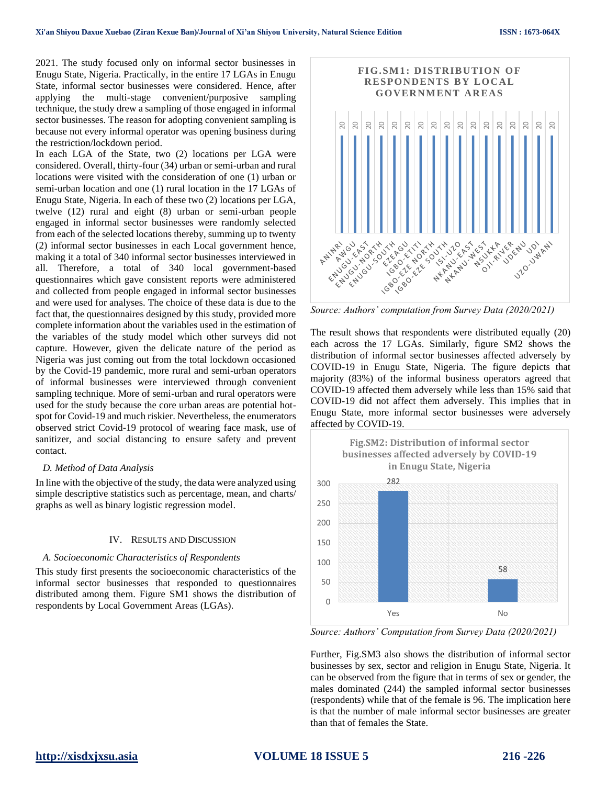2021. The study focused only on informal sector businesses in Enugu State, Nigeria. Practically, in the entire 17 LGAs in Enugu State, informal sector businesses were considered. Hence, after applying the multi-stage convenient/purposive sampling technique, the study drew a sampling of those engaged in informal sector businesses. The reason for adopting convenient sampling is because not every informal operator was opening business during the restriction/lockdown period.

In each LGA of the State, two (2) locations per LGA were considered. Overall, thirty-four (34) urban or semi-urban and rural locations were visited with the consideration of one (1) urban or semi-urban location and one (1) rural location in the 17 LGAs of Enugu State, Nigeria. In each of these two (2) locations per LGA, twelve (12) rural and eight (8) urban or semi-urban people engaged in informal sector businesses were randomly selected from each of the selected locations thereby, summing up to twenty (2) informal sector businesses in each Local government hence, making it a total of 340 informal sector businesses interviewed in all. Therefore, a total of 340 local government-based questionnaires which gave consistent reports were administered and collected from people engaged in informal sector businesses and were used for analyses. The choice of these data is due to the fact that, the questionnaires designed by this study, provided more complete information about the variables used in the estimation of the variables of the study model which other surveys did not capture. However, given the delicate nature of the period as Nigeria was just coming out from the total lockdown occasioned by the Covid-19 pandemic, more rural and semi-urban operators of informal businesses were interviewed through convenient sampling technique. More of semi-urban and rural operators were used for the study because the core urban areas are potential hotspot for Covid-19 and much riskier. Nevertheless, the enumerators observed strict Covid-19 protocol of wearing face mask, use of sanitizer, and social distancing to ensure safety and prevent contact.

#### *D. Method of Data Analysis*

In line with the objective of the study, the data were analyzed using simple descriptive statistics such as percentage, mean, and charts/ graphs as well as binary logistic regression model.

#### IV. RESULTS AND DISCUSSION

#### *A. Socioeconomic Characteristics of Respondents*

This study first presents the socioeconomic characteristics of the informal sector businesses that responded to questionnaires distributed among them. Figure SM1 shows the distribution of respondents by Local Government Areas (LGAs).



*Source: Authors' computation from Survey Data (2020/2021)*

The result shows that respondents were distributed equally (20) each across the 17 LGAs. Similarly, figure SM2 shows the distribution of informal sector businesses affected adversely by COVID-19 in Enugu State, Nigeria. The figure depicts that majority (83%) of the informal business operators agreed that COVID-19 affected them adversely while less than 15% said that COVID-19 did not affect them adversely. This implies that in Enugu State, more informal sector businesses were adversely affected by COVID-19.



*Source: Authors' Computation from Survey Data (2020/2021)*

Further, Fig.SM3 also shows the distribution of informal sector businesses by sex, sector and religion in Enugu State, Nigeria. It can be observed from the figure that in terms of sex or gender, the males dominated (244) the sampled informal sector businesses (respondents) while that of the female is 96. The implication here is that the number of male informal sector businesses are greater than that of females the State.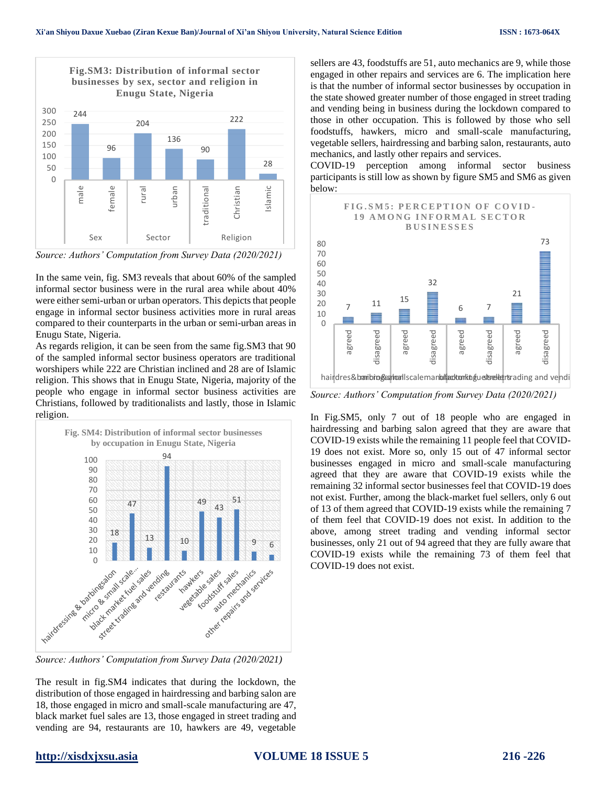

*Source: Authors' Computation from Survey Data (2020/2021)*

In the same vein, fig. SM3 reveals that about 60% of the sampled informal sector business were in the rural area while about 40% were either semi-urban or urban operators. This depicts that people engage in informal sector business activities more in rural areas compared to their counterparts in the urban or semi-urban areas in Enugu State, Nigeria.

As regards religion, it can be seen from the same fig.SM3 that 90 of the sampled informal sector business operators are traditional worshipers while 222 are Christian inclined and 28 are of Islamic religion. This shows that in Enugu State, Nigeria, majority of the people who engage in informal sector business activities are Christians, followed by traditionalists and lastly, those in Islamic religion.



*Source: Authors' Computation from Survey Data (2020/2021)*

The result in fig.SM4 indicates that during the lockdown, the distribution of those engaged in hairdressing and barbing salon are 18, those engaged in micro and small-scale manufacturing are 47, black market fuel sales are 13, those engaged in street trading and vending are 94, restaurants are 10, hawkers are 49, vegetable

sellers are 43, foodstuffs are 51, auto mechanics are 9, while those engaged in other repairs and services are 6. The implication here is that the number of informal sector businesses by occupation in the state showed greater number of those engaged in street trading and vending being in business during the lockdown compared to those in other occupation. This is followed by those who sell foodstuffs, hawkers, micro and small-scale manufacturing, vegetable sellers, hairdressing and barbing salon, restaurants, auto mechanics, and lastly other repairs and services.

COVID-19 perception among informal sector business participants is still low as shown by figure SM5 and SM6 as given below:



*Source: Authors' Computation from Survey Data (2020/2021)*

In Fig.SM5, only 7 out of 18 people who are engaged in hairdressing and barbing salon agreed that they are aware that COVID-19 exists while the remaining 11 people feel that COVID-19 does not exist. More so, only 15 out of 47 informal sector businesses engaged in micro and small-scale manufacturing agreed that they are aware that COVID-19 exists while the remaining 32 informal sector businesses feel that COVID-19 does not exist. Further, among the black-market fuel sellers, only 6 out of 13 of them agreed that COVID-19 exists while the remaining 7 of them feel that COVID-19 does not exist. In addition to the above, among street trading and vending informal sector businesses, only 21 out of 94 agreed that they are fully aware that COVID-19 exists while the remaining 73 of them feel that COVID-19 does not exist.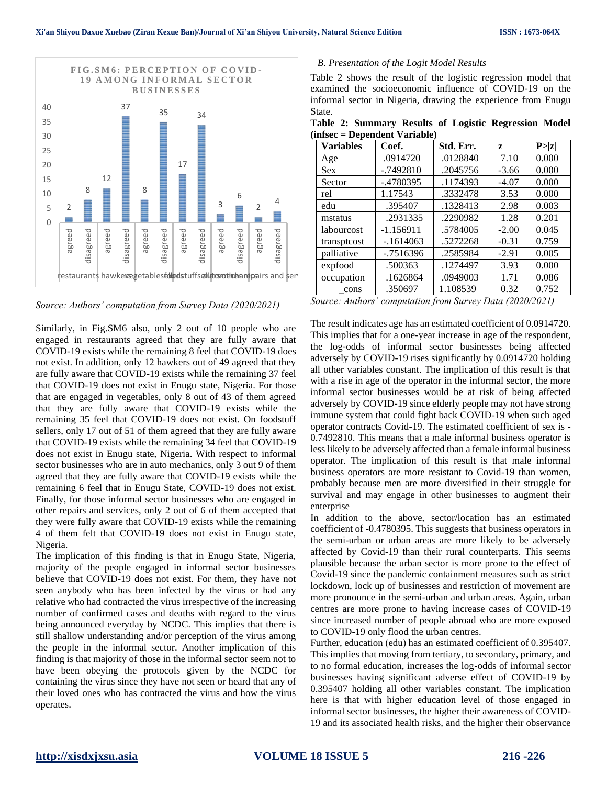

*Source: Authors' computation from Survey Data (2020/2021)*

Similarly, in Fig.SM6 also, only 2 out of 10 people who are engaged in restaurants agreed that they are fully aware that COVID-19 exists while the remaining 8 feel that COVID-19 does not exist. In addition, only 12 hawkers out of 49 agreed that they are fully aware that COVID-19 exists while the remaining 37 feel that COVID-19 does not exist in Enugu state, Nigeria. For those that are engaged in vegetables, only 8 out of 43 of them agreed that they are fully aware that COVID-19 exists while the remaining 35 feel that COVID-19 does not exist. On foodstuff sellers, only 17 out of 51 of them agreed that they are fully aware that COVID-19 exists while the remaining 34 feel that COVID-19 does not exist in Enugu state, Nigeria. With respect to informal sector businesses who are in auto mechanics, only 3 out 9 of them agreed that they are fully aware that COVID-19 exists while the remaining 6 feel that in Enugu State, COVID-19 does not exist. Finally, for those informal sector businesses who are engaged in other repairs and services, only 2 out of 6 of them accepted that they were fully aware that COVID-19 exists while the remaining 4 of them felt that COVID-19 does not exist in Enugu state, Nigeria.

The implication of this finding is that in Enugu State, Nigeria, majority of the people engaged in informal sector businesses believe that COVID-19 does not exist. For them, they have not seen anybody who has been infected by the virus or had any relative who had contracted the virus irrespective of the increasing number of confirmed cases and deaths with regard to the virus being announced everyday by NCDC. This implies that there is still shallow understanding and/or perception of the virus among the people in the informal sector. Another implication of this finding is that majority of those in the informal sector seem not to have been obeying the protocols given by the NCDC for containing the virus since they have not seen or heard that any of their loved ones who has contracted the virus and how the virus operates.

#### *B. Presentation of the Logit Model Results*

Table 2 shows the result of the logistic regression model that examined the socioeconomic influence of COVID-19 on the informal sector in Nigeria, drawing the experience from Enugu State.

**Table 2: Summary Results of Logistic Regression Model (infsec = Dependent Variable)**

| <b>Variables</b> | Coef.        | Std. Err. | Z       | P >  z |
|------------------|--------------|-----------|---------|--------|
| Age              | .0914720     | .0128840  | 7.10    | 0.000  |
| <b>Sex</b>       | $-0.7492810$ | .2045756  | $-3.66$ | 0.000  |
| Sector           | $-.4780395$  | .1174393  | $-4.07$ | 0.000  |
| rel              | 1.17543      | .3332478  | 3.53    | 0.000  |
| edu              | .395407      | .1328413  | 2.98    | 0.003  |
| mstatus          | .2931335     | .2290982  | 1.28    | 0.201  |
| labourcost       | $-1.156911$  | .5784005  | $-2.00$ | 0.045  |
| transptcost      | $-1614063$   | .5272268  | $-0.31$ | 0.759  |
| palliative       | $-0.7516396$ | .2585984  | $-2.91$ | 0.005  |
| expfood          | .500363      | .1274497  | 3.93    | 0.000  |
| occupation       | .1626864     | .0949003  | 1.71    | 0.086  |
| cons             | .350697      | 1.108539  | 0.32    | 0.752  |

*Source: Authors' computation from Survey Data (2020/2021)*

The result indicates age has an estimated coefficient of 0.0914720. This implies that for a one-year increase in age of the respondent, the log-odds of informal sector businesses being affected adversely by COVID-19 rises significantly by 0.0914720 holding all other variables constant. The implication of this result is that with a rise in age of the operator in the informal sector, the more informal sector businesses would be at risk of being affected adversely by COVID-19 since elderly people may not have strong immune system that could fight back COVID-19 when such aged operator contracts Covid-19. The estimated coefficient of sex is - 0.7492810. This means that a male informal business operator is less likely to be adversely affected than a female informal business operator. The implication of this result is that male informal business operators are more resistant to Covid-19 than women, probably because men are more diversified in their struggle for survival and may engage in other businesses to augment their enterprise

In addition to the above, sector/location has an estimated coefficient of -0.4780395. This suggests that business operators in the semi-urban or urban areas are more likely to be adversely affected by Covid-19 than their rural counterparts. This seems plausible because the urban sector is more prone to the effect of Covid-19 since the pandemic containment measures such as strict lockdown, lock up of businesses and restriction of movement are more pronounce in the semi-urban and urban areas. Again, urban centres are more prone to having increase cases of COVID-19 since increased number of people abroad who are more exposed to COVID-19 only flood the urban centres.

Further, education (edu) has an estimated coefficient of 0.395407. This implies that moving from tertiary, to secondary, primary, and to no formal education, increases the log-odds of informal sector businesses having significant adverse effect of COVID-19 by 0.395407 holding all other variables constant. The implication here is that with higher education level of those engaged in informal sector businesses, the higher their awareness of COVID-19 and its associated health risks, and the higher their observance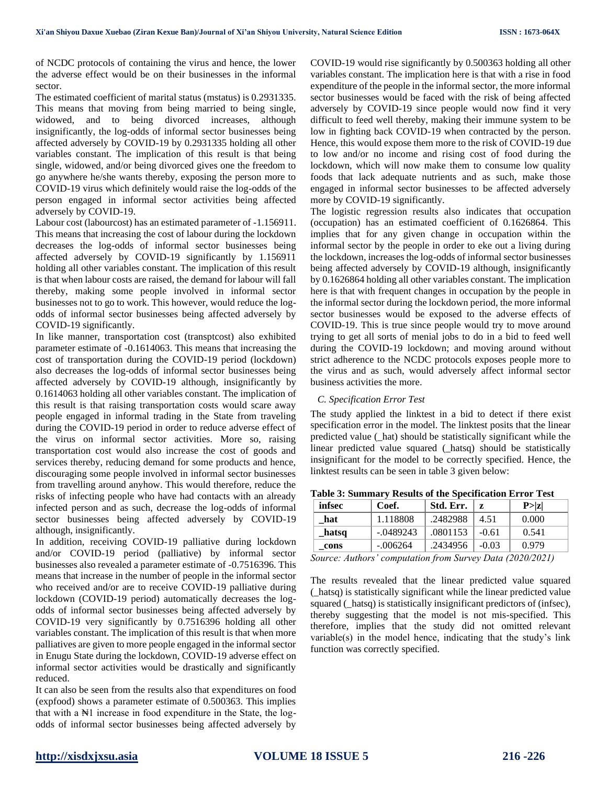of NCDC protocols of containing the virus and hence, the lower the adverse effect would be on their businesses in the informal sector.

The estimated coefficient of marital status (mstatus) is 0.2931335. This means that moving from being married to being single, widowed, and to being divorced increases, although insignificantly, the log-odds of informal sector businesses being affected adversely by COVID-19 by 0.2931335 holding all other variables constant. The implication of this result is that being single, widowed, and/or being divorced gives one the freedom to go anywhere he/she wants thereby, exposing the person more to COVID-19 virus which definitely would raise the log-odds of the person engaged in informal sector activities being affected adversely by COVID-19.

Labour cost (labourcost) has an estimated parameter of -1.156911. This means that increasing the cost of labour during the lockdown decreases the log-odds of informal sector businesses being affected adversely by COVID-19 significantly by 1.156911 holding all other variables constant. The implication of this result is that when labour costs are raised, the demand for labour will fall thereby, making some people involved in informal sector businesses not to go to work. This however, would reduce the logodds of informal sector businesses being affected adversely by COVID-19 significantly.

In like manner, transportation cost (transptcost) also exhibited parameter estimate of -0.1614063. This means that increasing the cost of transportation during the COVID-19 period (lockdown) also decreases the log-odds of informal sector businesses being affected adversely by COVID-19 although, insignificantly by 0.1614063 holding all other variables constant. The implication of this result is that raising transportation costs would scare away people engaged in informal trading in the State from traveling during the COVID-19 period in order to reduce adverse effect of the virus on informal sector activities. More so, raising transportation cost would also increase the cost of goods and services thereby, reducing demand for some products and hence, discouraging some people involved in informal sector businesses from travelling around anyhow. This would therefore, reduce the risks of infecting people who have had contacts with an already infected person and as such, decrease the log-odds of informal sector businesses being affected adversely by COVID-19 although, insignificantly.

In addition, receiving COVID-19 palliative during lockdown and/or COVID-19 period (palliative) by informal sector businesses also revealed a parameter estimate of -0.7516396. This means that increase in the number of people in the informal sector who received and/or are to receive COVID-19 palliative during lockdown (COVID-19 period) automatically decreases the logodds of informal sector businesses being affected adversely by COVID-19 very significantly by 0.7516396 holding all other variables constant. The implication of this result is that when more palliatives are given to more people engaged in the informal sector in Enugu State during the lockdown, COVID-19 adverse effect on informal sector activities would be drastically and significantly reduced.

It can also be seen from the results also that expenditures on food (expfood) shows a parameter estimate of 0.500363. This implies that with a N<sup>H</sup> increase in food expenditure in the State, the logodds of informal sector businesses being affected adversely by COVID-19 would rise significantly by 0.500363 holding all other variables constant. The implication here is that with a rise in food expenditure of the people in the informal sector, the more informal sector businesses would be faced with the risk of being affected adversely by COVID-19 since people would now find it very difficult to feed well thereby, making their immune system to be low in fighting back COVID-19 when contracted by the person. Hence, this would expose them more to the risk of COVID-19 due to low and/or no income and rising cost of food during the lockdown, which will now make them to consume low quality foods that lack adequate nutrients and as such, make those engaged in informal sector businesses to be affected adversely more by COVID-19 significantly.

The logistic regression results also indicates that occupation (occupation) has an estimated coefficient of 0.1626864. This implies that for any given change in occupation within the informal sector by the people in order to eke out a living during the lockdown, increases the log-odds of informal sector businesses being affected adversely by COVID-19 although, insignificantly by 0.1626864 holding all other variables constant. The implication here is that with frequent changes in occupation by the people in the informal sector during the lockdown period, the more informal sector businesses would be exposed to the adverse effects of COVID-19. This is true since people would try to move around trying to get all sorts of menial jobs to do in a bid to feed well during the COVID-19 lockdown; and moving around without strict adherence to the NCDC protocols exposes people more to the virus and as such, would adversely affect informal sector business activities the more.

#### *C. Specification Error Test*

The study applied the linktest in a bid to detect if there exist specification error in the model. The linktest posits that the linear predicted value (\_hat) should be statistically significant while the linear predicted value squared (\_hatsq) should be statistically insignificant for the model to be correctly specified. Hence, the linktest results can be seen in table 3 given below:

| Table 3: Summary Results of the Specification Error Test |  |  |
|----------------------------------------------------------|--|--|
|                                                          |  |  |

| infsec | Coef.       | Std. Err. | z       | P >  z |
|--------|-------------|-----------|---------|--------|
| hat    | 1.118808    | .2482988  | 4.51    | 0.000  |
| hatsq  | $-.0489243$ | .0801153  | $-0.61$ | 0.541  |
| cons   | $-.006264$  | .2434956  | $-0.03$ | 0.979  |
| $\sim$ |             |           |         |        |

*Source: Authors' computation from Survey Data (2020/2021)*

The results revealed that the linear predicted value squared (\_hatsq) is statistically significant while the linear predicted value squared (\_hatsq) is statistically insignificant predictors of (infsec), thereby suggesting that the model is not mis-specified. This therefore, implies that the study did not omitted relevant variable(s) in the model hence, indicating that the study's link function was correctly specified.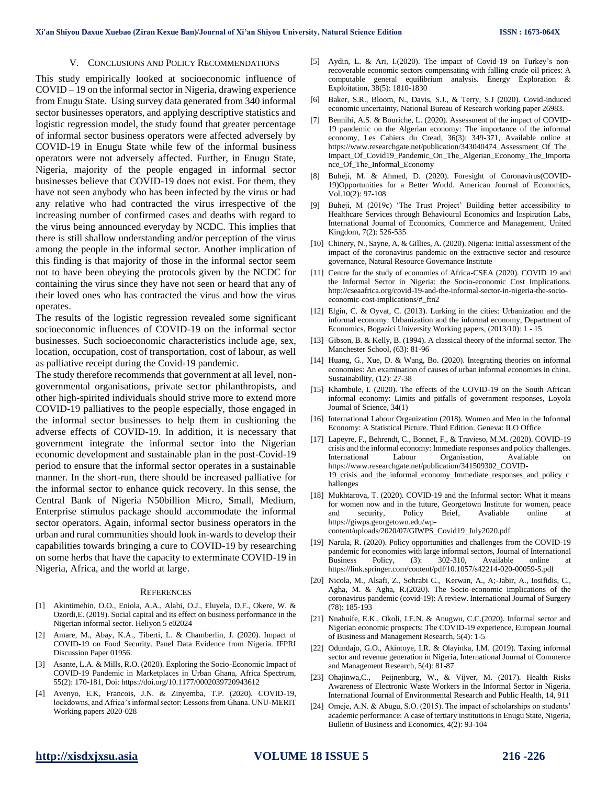#### V. CONCLUSIONS AND POLICY RECOMMENDATIONS

This study empirically looked at socioeconomic influence of COVID – 19 on the informal sector in Nigeria, drawing experience from Enugu State. Using survey data generated from 340 informal sector businesses operators, and applying descriptive statistics and logistic regression model, the study found that greater percentage of informal sector business operators were affected adversely by COVID-19 in Enugu State while few of the informal business operators were not adversely affected. Further, in Enugu State, Nigeria, majority of the people engaged in informal sector businesses believe that COVID-19 does not exist. For them, they have not seen anybody who has been infected by the virus or had any relative who had contracted the virus irrespective of the increasing number of confirmed cases and deaths with regard to the virus being announced everyday by NCDC. This implies that there is still shallow understanding and/or perception of the virus among the people in the informal sector. Another implication of this finding is that majority of those in the informal sector seem not to have been obeying the protocols given by the NCDC for containing the virus since they have not seen or heard that any of their loved ones who has contracted the virus and how the virus operates.

The results of the logistic regression revealed some significant socioeconomic influences of COVID-19 on the informal sector businesses. Such socioeconomic characteristics include age, sex, location, occupation, cost of transportation, cost of labour, as well as palliative receipt during the Covid-19 pandemic.

The study therefore recommends that government at all level, nongovernmental organisations, private sector philanthropists, and other high-spirited individuals should strive more to extend more COVID-19 palliatives to the people especially, those engaged in the informal sector businesses to help them in cushioning the adverse effects of COVID-19. In addition, it is necessary that government integrate the informal sector into the Nigerian economic development and sustainable plan in the post-Covid-19 period to ensure that the informal sector operates in a sustainable manner. In the short-run, there should be increased palliative for the informal sector to enhance quick recovery. In this sense, the Central Bank of Nigeria N50billion Micro, Small, Medium, Enterprise stimulus package should accommodate the informal sector operators. Again, informal sector business operators in the urban and rural communities should look in-wards to develop their capabilities towards bringing a cure to COVID-19 by researching on some herbs that have the capacity to exterminate COVID-19 in Nigeria, Africa, and the world at large.

#### **REFERENCES**

- [1] Akintimehin, O.O., Eniola, A.A., Alabi, O.J., Eluyela, D.F., Okere, W. & Ozordi,E. (2019). Social capital and its effect on business performance in the Nigerian informal sector. Heliyon 5 e02024
- [2] Amare, M., Abay, K.A., Tiberti, L. & Chamberlin, J. (2020). Impact of COVID-19 on Food Security. Panel Data Evidence from Nigeria. IFPRI Discussion Paper 01956.
- [3] Asante, L.A. & Mills, R.O. (2020). Exploring the Socio-Economic Impact of COVID-19 Pandemic in Marketplaces in Urban Ghana, Africa Spectrum, 55(2): 170-181, Doi: https://doi.org/10.1177/0002039720943612
- [4] Avenyo, E.K, Francois, J.N. & Zinyemba, T.P. (2020). COVID-19, lockdowns, and Africa's informal sector: Lessons from Ghana. UNU-MERIT Working papers 2020-028
- [5] Aydin, L. & Ari, I.(2020). The impact of Covid-19 on Turkey's nonrecoverable economic sectors compensating with falling crude oil prices: A computable general equilibrium analysis. Energy Exploration & Exploitation, 38(5): 1810-1830
- [6] Baker, S.R., Bloom, N., Davis, S.J., & Terry, S.J (2020). Covid-induced economic uncertainty, National Bureau of Research working paper 26983.
- [7] Bennihi, A.S. & Bouriche, L. (2020). Assessment of the impact of COVID-19 pandemic on the Algerian economy: The importance of the informal economy, Les Cahiers du Cread, 36(3): 349-371, Available online at https://www.researchgate.net/publication/343040474\_Assessment\_Of\_The\_ Impact\_Of\_Covid19\_Pandemic\_On\_The\_Algerian\_Economy\_The\_Importa nce\_Of\_The\_Informal\_Economy
- [8] Buheji, M. & Ahmed, D. (2020). Foresight of Coronavirus(COVID-19)Opportunities for a Better World. American Journal of Economics, Vol.10(2): 97-108
- [9] Buheji, M (2019c) 'The Trust Project' Building better accessibility to Healthcare Services through Behavioural Economics and Inspiration Labs, International Journal of Economics, Commerce and Management, United Kingdom, 7(2): 526-535
- [10] Chinery, N., Sayne, A. & Gillies, A. (2020). Nigeria: Initial assessment of the impact of the coronavirus pandemic on the extractive sector and resource governance, Natural Resource Governance Institute
- [11] Centre for the study of economies of Africa-CSEA (2020). COVID 19 and the Informal Sector in Nigeria: the Socio-economic Cost Implications. http://cseaafrica.org/covid-19-and-the-informal-sector-in-nigeria-the-socioeconomic-cost-implications/#\_ftn2
- [12] Elgin, C. & Oyvat, C. (2013). Lurking in the cities: Urbanization and the informal economy: Urbanization and the informal economy, Department of Economics, Bogazici University Working papers, (2013/10): 1 - 15
- [13] Gibson, B. & Kelly, B. (1994). A classical theory of the informal sector. The Manchester School, (63): 81-96
- [14] Huang, G., Xue, D. & Wang, Bo. (2020). Integrating theories on informal economies: An examination of causes of urban informal economies in china. Sustainability, (12): 27-38
- [15] Khambule, I. (2020). The effects of the COVID-19 on the South African informal economy: Limits and pitfalls of government responses, Loyola Journal of Science, 34(1)
- [16] International Labour Organization (2018). Women and Men in the Informal Economy: A Statistical Picture. Third Edition. Geneva: ILO Office
- [17] Lapeyre, F., Behrendt, C., Bonnet, F., & Travieso, M.M. (2020). COVID-19 crisis and the informal economy: Immediate responses and policy challenges. International Labour Organisation, Avaliable on https://www.researchgate.net/publication/341509302\_COVID-19\_crisis\_and\_the\_informal\_economy\_Immediate\_responses\_and\_policy\_c hallenges
- [18] Mukhtarova, T. (2020). COVID-19 and the Informal sector: What it means for women now and in the future, Georgetown Institute for women, peace and security, Policy Brief, Avaliable online at https://giwps.georgetown.edu/wpcontent/uploads/2020/07/GIWPS\_Covid19\_July2020.pdf
- [19] Narula, R. (2020). Policy opportunities and challenges from the COVID-19 pandemic for economies with large informal sectors, Journal of International<br>Business Policy, (3): 302-310, Available online at Business Policy, (3): 302-310, Available online at https://link.springer.com/content/pdf/10.1057/s42214-020-00059-5.pdf
- [20] Nicola, M., Alsafi, Z., Sohrabi C., Kerwan, A., A;-Jabir, A., Iosifidis, C., Agha, M. & Agha, R.(2020). The Socio-economic implications of the coronavirus pandemic (covid-19): A review. International Journal of Surgery (78): 185-193
- [21] Nnabuife, E.K., Okoli, I.E.N. & Anugwu, C.C.(2020). Informal sector and Nigerian economic prospects: The COVID-19 experience, European Journal of Business and Management Research, 5(4): 1-5
- [22] Odundajo, G.O., Akintoye, I.R. & Olayinka, I.M. (2019). Taxing informal sector and revenue generation in Nigeria, International Journal of Commerce and Management Research, 5(4): 81-87
- [23] Ohajinwa,C., Peijnenburg, W., & Vijver, M. (2017). Health Risks Awareness of Electronic Waste Workers in the Informal Sector in Nigeria. International Journal of Environmental Research and Public Health, 14, 911
- [24] Omeje, A.N. & Abugu, S.O. (2015). The impact of scholarships on students' academic performance: A case of tertiary institutions in Enugu State, Nigeria, Bulletin of Business and Economics, 4(2): 93-104